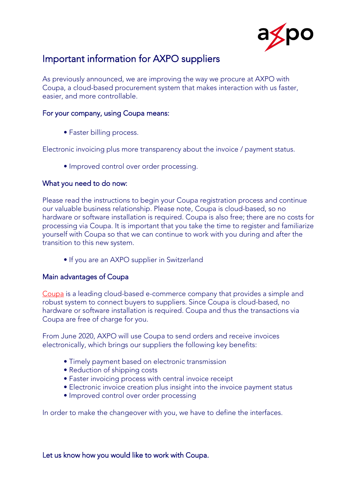

# Important information for AXPO suppliers

As previously announced, we are improving the way we procure at AXPO with Coupa, a cloud-based procurement system that makes interaction with us faster, easier, and more controllable.

# For your company, using Coupa means:

• Faster billing process.

Electronic invoicing plus more transparency about the invoice / payment status.

• Improved control over order processing.

# What you need to do now:

Please read the instructions to begin your Coupa registration process and continue our valuable business relationship. Please note, Coupa is cloud-based, so no hardware or software installation is required. Coupa is also free; there are no costs for processing via Coupa. It is important that you take the time to register and familiarize yourself with Coupa so that we can continue to work with you during and after the transition to this new system.

• If you are an AXPO supplier in Switzerland

# Main advantages of Coupa

[Coupa](https://success.coupa.com/Suppliers/For_Suppliers) is a leading cloud-based e-commerce company that provides a simple and robust system to connect buyers to suppliers. Since Coupa is cloud-based, no hardware or software installation is required. Coupa and thus the transactions via Coupa are free of charge for you.

From June 2020, AXPO will use Coupa to send orders and receive invoices electronically, which brings our suppliers the following key benefits:

- Timely payment based on electronic transmission
- Reduction of shipping costs
- Faster invoicing process with central invoice receipt
- Electronic invoice creation plus insight into the invoice payment status
- Improved control over order processing

In order to make the changeover with you, we have to define the interfaces.

# Let us know how you would like to work with Coupa.